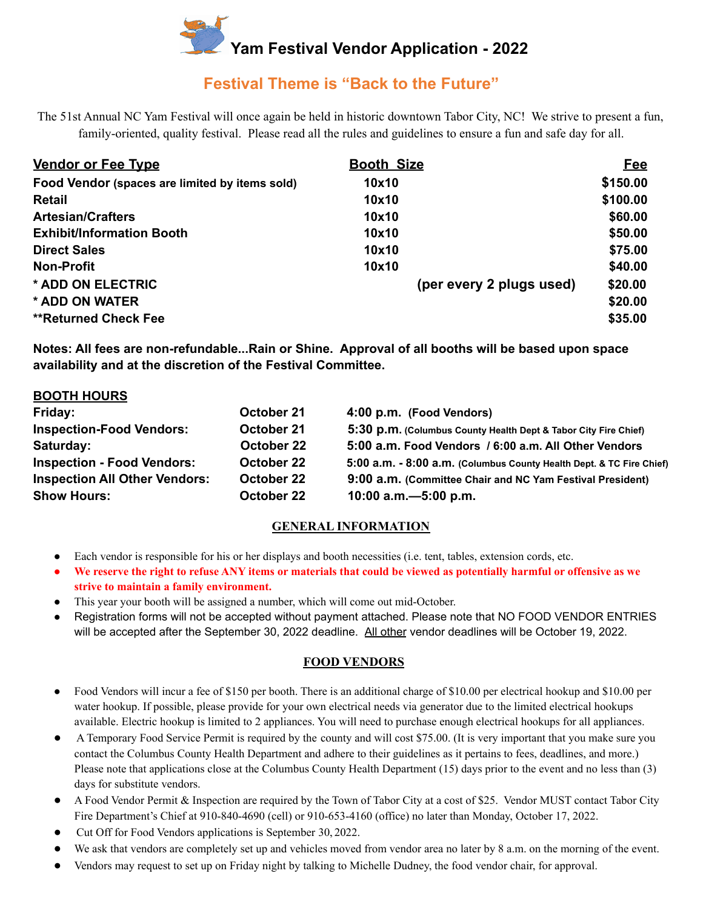

# **Festival Theme is "Back to the Future"**

The 51st Annual NC Yam Festival will once again be held in historic downtown Tabor City, NC! We strive to present a fun, family-oriented, quality festival. Please read all the rules and guidelines to ensure a fun and safe day for all.

| <b>Vendor or Fee Type</b>                      | <b>Booth Size</b>        | <b>Fee</b> |
|------------------------------------------------|--------------------------|------------|
| Food Vendor (spaces are limited by items sold) | 10x10                    | \$150.00   |
| <b>Retail</b>                                  | 10x10                    | \$100.00   |
| <b>Artesian/Crafters</b>                       | 10x10                    | \$60.00    |
| <b>Exhibit/Information Booth</b>               | 10x10                    | \$50.00    |
| <b>Direct Sales</b>                            | 10x10                    | \$75.00    |
| <b>Non-Profit</b>                              | 10x10                    | \$40.00    |
| * ADD ON ELECTRIC                              | (per every 2 plugs used) | \$20.00    |
| * ADD ON WATER                                 |                          | \$20.00    |
| <b>**Returned Check Fee</b>                    |                          | \$35.00    |

**Notes: All fees are non-refundable...Rain or Shine. Approval of all booths will be based upon space availability and at the discretion of the Festival Committee.**

| <b>BOOTH HOURS</b>                   |            |                                                                      |
|--------------------------------------|------------|----------------------------------------------------------------------|
| Friday:                              | October 21 | 4:00 p.m. (Food Vendors)                                             |
| <b>Inspection-Food Vendors:</b>      | October 21 | 5:30 p.m. (Columbus County Health Dept & Tabor City Fire Chief)      |
| Saturday:                            | October 22 | 5:00 a.m. Food Vendors / 6:00 a.m. All Other Vendors                 |
| <b>Inspection - Food Vendors:</b>    | October 22 | 5:00 a.m. - 8:00 a.m. (Columbus County Health Dept. & TC Fire Chief) |
| <b>Inspection All Other Vendors:</b> | October 22 | 9:00 a.m. (Committee Chair and NC Yam Festival President)            |
| <b>Show Hours:</b>                   | October 22 | 10:00 a.m. - 5:00 p.m.                                               |

# **GENERAL INFORMATION**

- Each vendor is responsible for his or her displays and booth necessities (i.e. tent, tables, extension cords, etc.
- We reserve the right to refuse ANY items or materials that could be viewed as potentially harmful or offensive as we **strive to maintain a family environment.**
- This year your booth will be assigned a number, which will come out mid-October.
- Registration forms will not be accepted without payment attached. Please note that NO FOOD VENDOR ENTRIES will be accepted after the September 30, 2022 deadline. All other vendor deadlines will be October 19, 2022.

#### **FOOD VENDORS**

- Food Vendors will incur a fee of \$150 per booth. There is an additional charge of \$10.00 per electrical hookup and \$10.00 per water hookup. If possible, please provide for your own electrical needs via generator due to the limited electrical hookups available. Electric hookup is limited to 2 appliances. You will need to purchase enough electrical hookups for all appliances.
- A Temporary Food Service Permit is required by the county and will cost \$75.00. (It is very important that you make sure you contact the Columbus County Health Department and adhere to their guidelines as it pertains to fees, deadlines, and more.) Please note that applications close at the Columbus County Health Department (15) days prior to the event and no less than (3) days for substitute vendors.
- A Food Vendor Permit & Inspection are required by the Town of Tabor City at a cost of \$25. Vendor MUST contact Tabor City Fire Department's Chief at 910-840-4690 (cell) or 910-653-4160 (office) no later than Monday, October 17, 2022.
- Cut Off for Food Vendors applications is September 30, 2022.
- We ask that vendors are completely set up and vehicles moved from vendor area no later by 8 a.m. on the morning of the event.
- Vendors may request to set up on Friday night by talking to Michelle Dudney, the food vendor chair, for approval.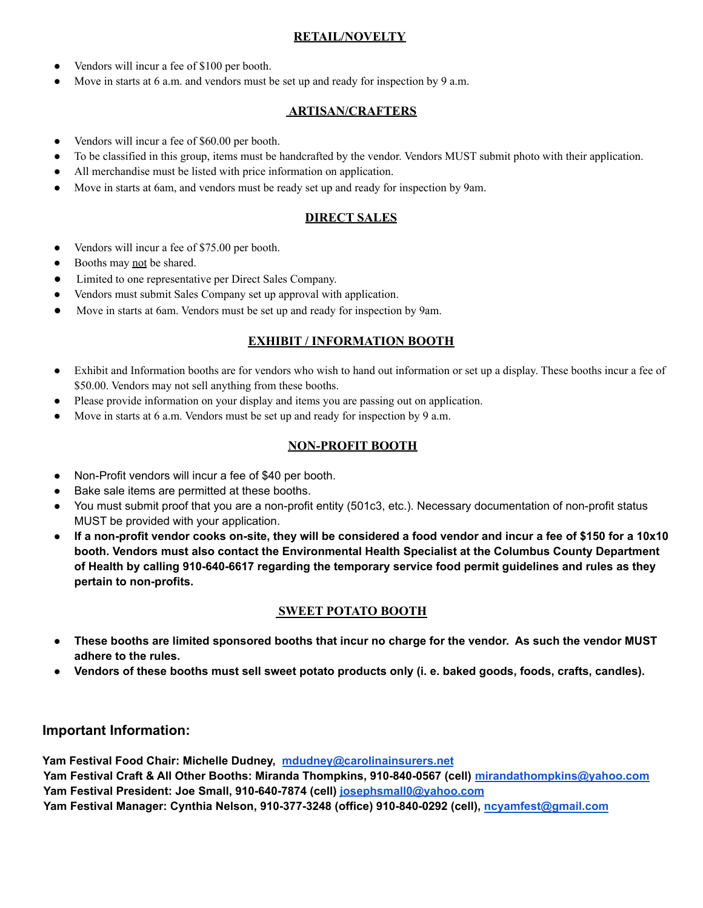## **RETAIL/NOVELTY**

- Vendors will incur a fee of \$100 per booth.
- Move in starts at 6 a.m. and vendors must be set up and ready for inspection by 9 a.m.

#### **ARTISAN/CRAFTERS**

- Vendors will incur a fee of \$60.00 per booth.
- To be classified in this group, items must be handcrafted by the vendor. Vendors MUST submit photo with their application.
- All merchandise must be listed with price information on application.
- Move in starts at 6am, and vendors must be ready set up and ready for inspection by 9am.

## **DIRECT SALES**

- Vendors will incur a fee of \$75.00 per booth.
- Booths may not be shared.
- Limited to one representative per Direct Sales Company.
- Vendors must submit Sales Company set up approval with application.
- Move in starts at 6am. Vendors must be set up and ready for inspection by 9am.

#### **EXHIBIT / INFORMATION BOOTH**

- Exhibit and Information booths are for vendors who wish to hand out information or set up a display. These booths incur a fee of \$50.00. Vendors may not sell anything from these booths.
- Please provide information on your display and items you are passing out on application.
- Move in starts at 6 a.m. Vendors must be set up and ready for inspection by 9 a.m.

#### **NON-PROFIT BOOTH**

- Non-Profit vendors will incur a fee of \$40 per booth.
- Bake sale items are permitted at these booths.
- You must submit proof that you are a non-profit entity (501c3, etc.). Necessary documentation of non-profit status MUST be provided with your application.
- If a non-profit vendor cooks on-site, they will be considered a food vendor and incur a fee of \$150 for a 10x10 **booth. Vendors must also contact the Environmental Health Specialist at the Columbus County Department of Health by calling 910-640-6617 regarding the temporary service food permit guidelines and rules as they pertain to non-profits.**

#### **SWEET POTATO BOOTH**

- These booths are limited sponsored booths that incur no charge for the vendor. As such the vendor MUST **adhere to the rules.**
- Vendors of these booths must sell sweet potato products only (i. e. baked goods, foods, crafts, candles).

# **Important Information:**

**Yam Festival Food Chair: Michelle Dudney, [mdudney@carolinainsurers.net](mailto:mdudney@carolinainsurers.net)**

**Yam Festival Craft & All Other Booths: Miranda Thompkins, 910-840-0567 (cell) [mirandathompkins@yahoo.com](mailto:mirandathompkins@yahoo.com) Yam Festival President: Joe Small, 910-640-7874 (cell) josephsmall0@yahoo.com**

**Yam Festival Manager: Cynthia Nelson, 910-377-3248 (office) 910-840-0292 (cell), ncyamfest@gmail.com**